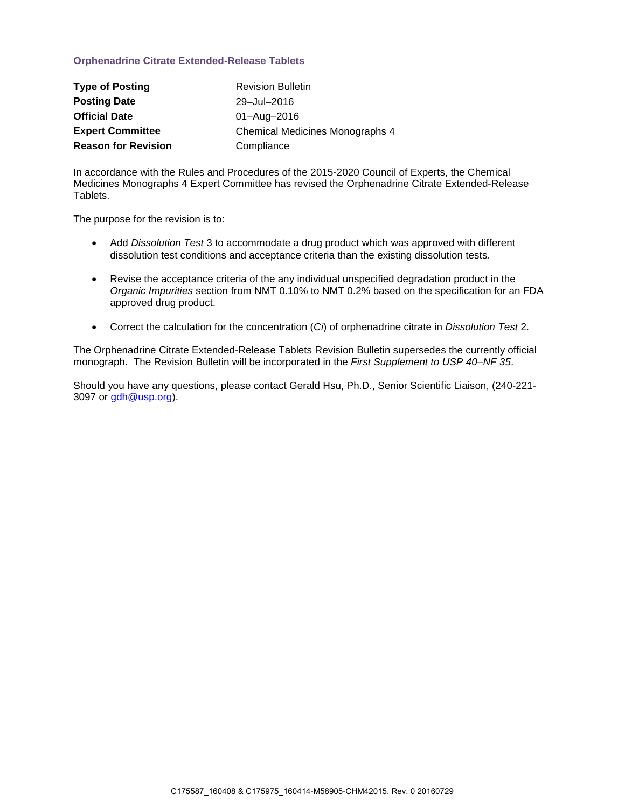### **Orphenadrine Citrate Extended-Release Tablets**

| <b>Type of Posting</b>     | <b>Revision Bulletin</b>               |
|----------------------------|----------------------------------------|
| <b>Posting Date</b>        | 29-Jul-2016                            |
| <b>Official Date</b>       | 01-Aug-2016                            |
| <b>Expert Committee</b>    | <b>Chemical Medicines Monographs 4</b> |
| <b>Reason for Revision</b> | Compliance                             |

In accordance with the Rules and Procedures of the 2015-2020 Council of Experts, the Chemical Medicines Monographs 4 Expert Committee has revised the Orphenadrine Citrate Extended-Release Tablets.

The purpose for the revision is to:

- Add *Dissolution Test* 3 to accommodate a drug product which was approved with different dissolution test conditions and acceptance criteria than the existing dissolution tests.
- Revise the acceptance criteria of the any individual unspecified degradation product in the *Organic Impurities* section from NMT 0.10% to NMT 0.2% based on the specification for an FDA approved drug product.
- Correct the calculation for the concentration (*Ci*) of orphenadrine citrate in *Dissolution Test* 2.

The Orphenadrine Citrate Extended-Release Tablets Revision Bulletin supersedes the currently official monograph. The Revision Bulletin will be incorporated in the *First Supplement to USP 40–NF 35*.

Should you have any questions, please contact Gerald Hsu, Ph.D., Senior Scientific Liaison, (240-221 3097 or [gdh@usp.org\)](mailto:gdh@usp.org).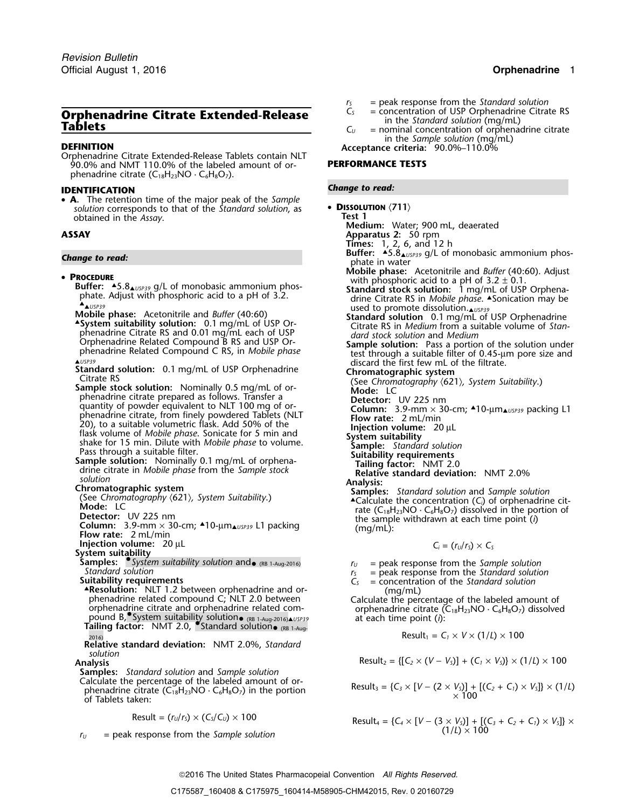# **Orphenadrine Citrate Extended-Release**<br>
Tablets<br> **Extended-Release**<br>  $C_{U}$  = concentration of USP Orphenadrine Citrate RS<br>  $C_{U}$  = nominal concentration of orphenadrine citrate<br>
in the *Sample solution* (mg/mL)

Orphenadrine Citrate Extended-Release Tablets contain NLT 90.0% and NMT 110.0% of the labeled amount of or- **PERFORMANCE TESTS** phenadrine citrate  $(C_{18}H_{23}NO \cdot C_6H_8O_7)$ .

### *Change to read:* **IDENTIFICATION**

• **A.** The retention time of the major peak of the *Sample* **DISSOLUTION** *solution* corresponds to that of the *Standard solution*, as **COLUTION Propertion Test 1** obtained in the Assay.

- **PROCEDURE**<br> **Buffer:** Adjust with phosphoric acid to a pH of 3.2 ± 0.1.<br> **PROCEDURE**<br> **PROCEDURE**<br> **PALISPERS**<br> **PALISPERS**<br> **PALISPERS**<br> **PALISPERS**<br> **PALISPERS**<br> **PALISPERS**<br> **PALISPERS**<br> **PALISPERS**<br> **PALISPERS**<br> **PAL**  $\triangle$ usp39
- Mobile phase: Acetonitrile and *Buffer* (40:60) **Standard solution** 0.1 mg/mL of USP Orphenadrine<br>
A System suitability solution: 0.1 mg/mL of USP Or-<br>
The Citrate RS in *Medium* from a suitable volume of Stan-**2 System suitability solution:** 0.1 mg/mL of USP Or-<br>phenadrine Citrate RS and 0.01 mg/mL each of USP prenadrine Citrate KS and 0.01 mg/mL each of OSP<br>Orphenadrine Related Compound B RS and USP Or-<br>phenadrine Related Compound C RS, in *Mobile phase*<br>A<sup>USP39</sup><br>AUSP39</sup><br>AUSP39<br>discard the first few mL of the filtrate.

AUSP39<br> **Standard solution:** 0.1 mg/mL of USP Orphenadrine<br>
Citrate RS<br>
Sample stock solution: Nominally 0.5 mg/mL of or-<br>
Sample stock solution: Nominally 0.5 mg/mL of or-<br>
Mode: LC

- phenadrine citrate prepared as follows. Transfer a **Detector:** UV 225 nm quantity of powder equivalent to NLT 100 mg of or-<br>
phenadrine citrate, from finely powdered Tablets (NLT<br>
20), to a suitable *phase*. Sonicate for 5 min and<br>
flask volume of *Mobile phase*. Sonicate for 5 min and<br>
shake
- 
- 

- **Injection volume:** 20 µL
- 

System suitability<br>
Samples: Samples: Sample solution suitability solution and<br>
Standard solution<br>
Standard solution<br>
Standard solution<br>
Standard solution<br>
Standard solution Standard solution<br>**Suitability requirements**  $C_S$  = concentration of the *Standard solution*<br> $C_S$  = concentration of the *Standard solution* 

- 
- ▲**.Resolution:** NLT 1.2 between orphenadrine and or- (mg/mL) **Resolution:** NLT 1.2 between orphenadrine and or-<br>
phenadrine related compound C; NLT 2.0 between Calculate the percentage of the labeled amount of<br>
orphenadrine citrate and orphenadrine related com-<br>
orphenadrine citrat pound B, System suitability solution• (RB 1-Aug-2016)**A** USP39 at each time point (*i*): **Tailing factor:** NMT 2.0, • Standard solution• (RB 1-Aug-

**Relative standard deviation:** NMT 2.0%, *Standard solution*

**Samples:** *Standard solution* and *Sample solution*

Calculate the percentage of the labeled amount of or-<br>phenadrine citrate  $(C_{18}H_{23}NO \cdot C_6H_8O_7)$  in the portion<br>of Tablets taken:

$$
Result = (r_U/r_S) \times (C_S/C_U) \times 100
$$

 $r_U$  = peak response from the *Sample solution* 

- *r*<sub>S</sub> = peak response from the *Standard solution*<br>*C<sub>S</sub>* = concentration of USP Orphenadrine Citrate RS
- 
- 
- 

**in the** *SACENITION* **Acceptance criteria:**  $\frac{1}{2}90.0\% - 110.0\%$ 

• DISSOLUTION  $\langle 711 \rangle$ 

- **Medium:** Water; 900 mL, deaerated
- **ASSAY Apparatus 2:** 50 rpm
	- **Times:** 1, 2, 6, and 12 h
- **Buffer:** ▲.5.8▲*USP39* g/L of monobasic ammonium phos- *Change to read:* <sup>p</sup>hate in water
- **Mobile phase:** Acetonitrile and *Buffer* (40:60). Adjust **Procedure**<br>**PROCEDURE** 
	-
	-
	-
	- -
	-
	-
	-
	- -
		-
		-
	- (See Chromatography  $\langle 621 \rangle$ , System Suitability.)<br>
	Mode: LC<br>
	Detector: UV 225 nm<br>
	Calculate the concentration (C<sub>i</sub>) of orphenadrine cit-<br>
	Detector: UV 225 nm<br>
	Column: 3.9-mm × 30-cm; 10-µm<sub>AUSP39</sub> L1 packing<br>
	Flow rat

$$
C_i = (r_U/r_S) \times C_S
$$

- 
- 
- 

orphenadrine citrate  $(C_{18}H_{23}NO \cdot C_6H_8O_7)$  dissolved

$$
Result_1 = C_1 \times V \times (1/L) \times 100
$$

Analysis

\n
$$
\text{Results}_2 = \{ [C_2 \times (V - V_5)] + (C_1 \times V_5) \} \times (1/L) \times 100
$$

$$
Result_3 = \{C_3 \times [V - (2 \times V_5)] + [(C_2 + C_1) \times V_5]\} \times (1/L)
$$
  
× 100

Result = 
$$
(r_0/r_s) \times (C_s/C_0) \times 100
$$
  
Result<sub>4</sub> =  $\{C_4 \times [V - (3 \times V_s)] + [(C_3 + C_2 + C_1) \times V_s] \times$   
 $(1/L) \times 100$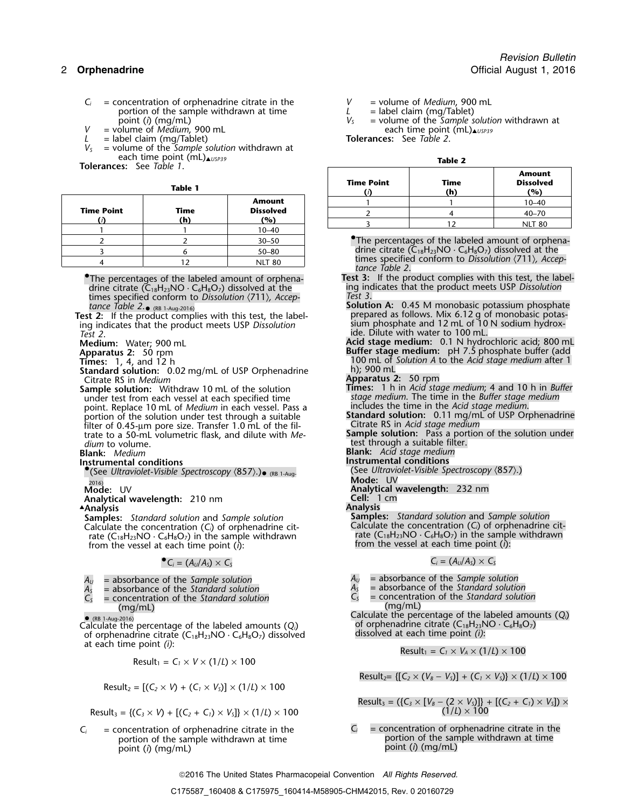- $C_i$  = concentration of orphenadrine citrate in the  $V$  = volume of *Medium*, 900 mL portion of the sample withdrawn at time  $L$  = label claim (mg/Tablet) portion of the sample withdrawn at time  $L$  =  $\frac{L}{V_S}$  =  $\frac{L}{V_S}$
- *V* = volume of *Medium*, 900 mL each time point (mL)▲*USP39*
- 
- $L =$  label claim (mg/Tablet)<br> $V_s =$  volume of the *Sample s V<sup>S</sup>* = volume of the *Sample solution* withdrawn at each time point (mL)▲*USP39* **Table 2 Tolerances:** See *Table 1*.

|               |                   |      |                  |         | ιn.                                                           | ( YO )            |
|---------------|-------------------|------|------------------|---------|---------------------------------------------------------------|-------------------|
| <b>Amount</b> |                   |      | $10 - 40$        |         |                                                               |                   |
|               | <b>Time Point</b> | Time | <b>Dissolved</b> |         |                                                               | $40 - 70$         |
|               |                   | (h)  | (%)              |         |                                                               | NLT <sub>80</sub> |
|               |                   |      | $10 - 40$        |         |                                                               |                   |
|               |                   |      | $30 - 50$        |         | •The percentages of the labeled amount of orp                 |                   |
|               |                   |      | $50 - 80$        |         | drine citrate $(C_{18}H_{23}NO \cdot C_6H_8O_7)$ dissolved at |                   |
|               |                   |      | <b>NLT 80</b>    | $t = 2$ | times specified conform to Dissolution (711), A               |                   |
|               |                   |      |                  |         |                                                               |                   |

times specified conform to *Dissolution*  $\langle 711 \rangle$ , *Accep*-<br> **Solution A:** 0.45 M monobasic potassium phosphate

*Test 2*.

**Standard solution:** 0.02 mg/mL of USP Orphenadrine Citrate RS in *Medium* 

under test from each vessel at each specified time *stage medium*. The time in the *Buffer stage medium* point. Replace 10 mL of *Medium* in each vessel. Pass a portion of the solution under test through a suitable filter of 0.45-µm pore size. Transfer 1.0 mL of the fil- Citrate RS in *Acid stage medium* trate to a 50-mL volumetric flask, and dilute with Me*dium* to volume. **the contract of the contract of the contract of the contract of the contract of the contract of the contract of the contract of the contract of the contract of the contract of the contract of the contrac** 

- **Instrumental conditions Instrumental conditions**
- $\bullet$  (See Ultraviolet-Visible Spectroscopy  $\langle 857 \rangle$ .)  $\bullet$  (RB 1-Aug- See Ultraviolet-Visible Spectroscopy  $\langle 857 \rangle$ .) 2016) **Mode:** UV
- 
- **Analytical wavelength:** 210 nm **Cell:**<sup>1</sup> cm

**Analysis .Analysis Analysis**

**Samples:** *Standard solution* and *Sample solution* **Samples:** *Standard solution* and *Sample solution* Calculate the concentration (C<sub>i</sub>) of orphenadrine citrate ( $C_{18}H_{23}NO \cdot C_6H_8O_7$ ) in the sample withdrawn from the vessel at each time point (*i*): from the vessel at each time point (*i*):

 $\bullet C_i = (A_U/A_S) \times C_S$ 

- $A_U$  = absorbance of the *Sample solution*<br>  $A_S$  = absorbance of the *Standard solution*<br>  $A_S$  = absorbance of the *Standard solution*<br>  $A_S$  = absorbance of the *Standard solution*
- 
- *C<sup>S</sup>* = concentration of the *Standard solution C<sup>S</sup>* = concentration of the *Standard solution*

 (RB 1-Aug-2016) Calculate the percentage of the labeled amounts  $(Q_i)$  of orphenadrine citrate  $(C_{18}H_{23}N$  of orphenadrine citrate  $(C_{18}H_{23}N0 \cdot C_6H_8O_7)$  dissolved at each time point *(i)*: of orphenadrine citrate (C<sub>18</sub>H<sub>23</sub>NO · C<sub>6</sub>H<sub>8</sub>O<sub>7</sub>) dissolved at each time point *(i)*:

$$
Result_1 = C_1 \times V \times (1/L) \times 100
$$

Result<sub>2</sub> = 
$$
[(C_2 \times V) + (C_1 \times V_s)] \times (1/L) \times 100
$$

$$
Result_3 = \{(C_3 \times V) + [(C_2 + C_1) \times V_5] \} \times (1/L) \times 100
$$
 (1/L) × 100

 $C_i$  = concentration of orphenadrine citrate in the  $C_i$  = concentration of orphenadrine citrate in the portion of the sample withdrawn at time portion of the sample withdrawn at time portion of the sample withdrawn at time portion of the sample withdrawn at time point (i) (mg/mL) point (*i*) (mg/mL) point (*i*) (mg/mL)

- 
- 
- = volume of the *Sample solution* withdrawn at each time point (mL)**A***USP39*

| r |  |
|---|--|

| <b>rances:</b> See Tabl <i>e</i> 1. |                |                  | <b>Amount</b>     |             |                         |  |  |
|-------------------------------------|----------------|------------------|-------------------|-------------|-------------------------|--|--|
|                                     | <b>Table 1</b> |                  | <b>Time Point</b> | Time<br>(h) | <b>Dissolved</b><br>(%) |  |  |
|                                     | Time           | <b>Amount</b>    |                   |             | $10 - 40$               |  |  |
| : Point                             |                | <b>Dissolved</b> |                   |             | $40 - 70$               |  |  |
| (i)                                 | (h)            | (%)              |                   |             | <b>NLT 80</b>           |  |  |

**•The percentages of the labeled amount of orphena**drine citrate ( $\overline{C}_{18}H_{23}NO \cdot C_6H_8O_7$ ) dissolved at the times specified conform to *Dissolution*  $\langle 711 \rangle$ *, Accep-*<br>tance Table 2.

- The percentages of the labeled amount of orphena- **Test 3:** If the product complies with this test, the labeldrine citrate (C<sub>18</sub>H<sub>23</sub>NO · C<sub>6</sub>H<sub>8</sub>O<sub>7</sub>) dissolved at the ing indicates that the product meets USP *Dissolution*<br>times specified conform to *Dissolution* (711) *Accen*- *Test 3*.
- tance Table 2. **a** (RB 1-Aug-2016) **Solution A:** 0.45 M monobasic potassium phosphate The state of the product complies with this test, the label-<br>ing indicates that the product meets USP Dissolution<br>ing indicates that the product meets USP Dissolution<br>sium phosphate and 12 mL of 10 N sodium hydrox-

**Medium:** Water; 900 mL **Acid stage medium:** 0.1 N hydrochloric acid; 800 mL **Apparatus 2:** 50 rpm **Buffer stage medium:** pH 7.5 <sup>p</sup>hosphate buffer (add **Apparatus 2:** 50 rpm<br>**Times:** 1, 4, and 12 h 100 mL of *Solution A* to the *Acid stage medium* after 1<br>**Standard solution:** 0.02 mg/mL of USP Orphenadrine 100 mL

- 
- **Apparatus 2: 50 rpm**
- **Sample solution:** Withdraw 10 mL of the solution **Times:** 1 h in *Acid stage medium*; 4 and 10 h in *Buffer* under test from each vessel at each specified time
	- Standard solution: 0.11 mg/mL of USP Orphenadrine<br>Citrate RS in Acid stage medium
	-
	-

**Blank:** *Medium* **Blank:** *Acid stage medium*

- 
- **Analytical wavelength:** 232 nm<br>**Cell:** 1 cm

Calculate the concentration (*C*<sub>*i*</sub>) of orphenadrine cit-<br>rate (C<sub>18</sub>H<sub>23</sub>NO · C<sub>6</sub>H<sub>8</sub>O<sub>7</sub>) in the sample withdrawn

 $C_i = (A_U/A_S) \times C_S$ 

- 
- 
- $A_s$  = absorbance of the *Standard solution*<br>  $C_s$  = concentration of the *Standard solution*<br>  $C_s$  = concentration of the *Standard solution*<br>  $C_s$  = concentration of the *Standard solution* (mg/mL) (mg/mL)

(mg/mL)<br>
calculate the percentage of the labeled amounts (*Q*<sub>*i*</sub>)<br>
of orphenadrine citrate (C<sub>18</sub>H<sub>23</sub>NO · C<sub>6</sub>H<sub>8</sub>O<sub>7</sub>)<br>
of orphenadrine citrate (C<sub>18</sub>H<sub>23</sub>NO · C<sub>6</sub>H<sub>8</sub>O<sub>7</sub>)

$$
Result_1 = C_1 \times V_A \times (1/L) \times 100
$$

 $Result_{2} = \{ [C_{2} \times (V_{B} - V_{S})] + (C_{1} \times V_{S}) \} \times (1/L) \times 100$ 

Result<sub>3</sub> = (
$$
\{C_3 \times [V_B - (2 \times V_5)]\} + [(C_2 + C_1) \times V_5]) \times (1/L) \times 100
$$

2016 The United States Pharmacopeial Convention *All Rights Reserved.*